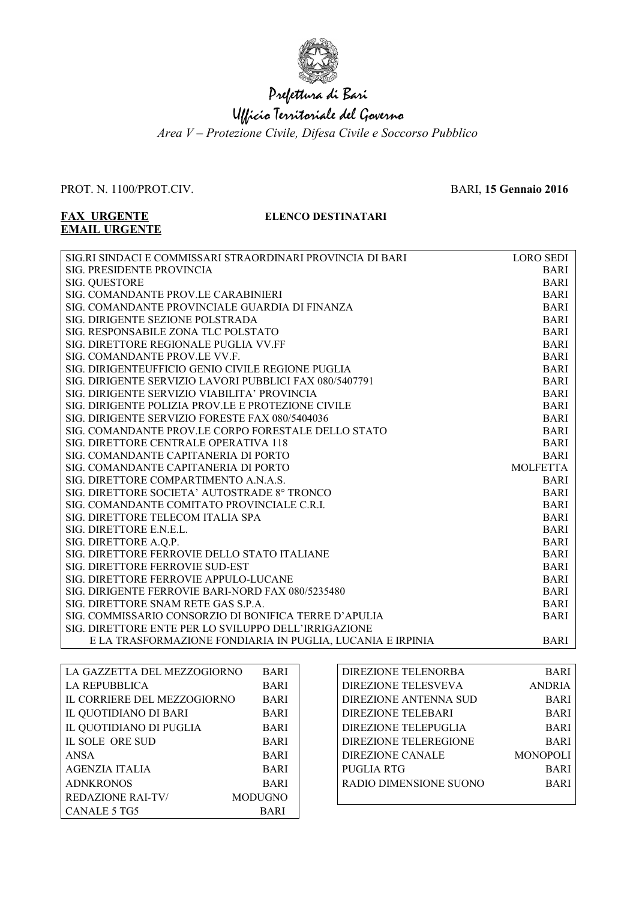

## Prefettura di Bari

## Ufficio Territoriale del Governo

*Area V – Protezione Civile, Difesa Civile e Soccorso Pubblico*

#### PROT. N. 1100/PROT.CIV. BARI, **15 Gennaio 2016**

# **EMAIL URGENTE**

### **FAX URGENTE ELENCO DESTINATARI**

| <b>SIG. PRESIDENTE PROVINCIA</b><br><b>BARI</b><br><b>SIG. QUESTORE</b><br><b>BARI</b><br>SIG. COMANDANTE PROV.LE CARABINIERI<br><b>BARI</b><br><b>BARI</b><br>SIG. COMANDANTE PROVINCIALE GUARDIA DI FINANZA<br><b>BARI</b><br>SIG. DIRIGENTE SEZIONE POLSTRADA<br>SIG. RESPONSABILE ZONA TLC POLSTATO<br><b>BARI</b><br>SIG. DIRETTORE REGIONALE PUGLIA VV.FF<br><b>BARI</b><br>SIG. COMANDANTE PROV.LE VV.F.<br><b>BARI</b><br>SIG. DIRIGENTEUFFICIO GENIO CIVILE REGIONE PUGLIA<br><b>BARI</b><br><b>BARI</b><br>SIG. DIRIGENTE SERVIZIO LAVORI PUBBLICI FAX 080/5407791<br><b>BARI</b><br>SIG. DIRIGENTE SERVIZIO VIABILITA' PROVINCIA<br><b>BARI</b><br>SIG. DIRIGENTE POLIZIA PROV.LE E PROTEZIONE CIVILE<br>SIG. DIRIGENTE SERVIZIO FORESTE FAX 080/5404036<br><b>BARI</b><br>SIG. COMANDANTE PROV.LE CORPO FORESTALE DELLO STATO<br><b>BARI</b><br><b>BARI</b><br>SIG. DIRETTORE CENTRALE OPERATIVA 118<br><b>BARI</b><br>SIG. COMANDANTE CAPITANERIA DI PORTO<br>SIG. COMANDANTE CAPITANERIA DI PORTO<br><b>MOLFETTA</b><br>SIG. DIRETTORE COMPARTIMENTO A.N.A.S.<br><b>BARI</b><br>SIG. DIRETTORE SOCIETA' AUTOSTRADE 8° TRONCO<br><b>BARI</b><br>SIG. COMANDANTE COMITATO PROVINCIALE C.R.I.<br><b>BARI</b><br>SIG. DIRETTORE TELECOM ITALIA SPA<br><b>BARI</b><br>SIG. DIRETTORE E.N.E.L.<br><b>BARI</b><br><b>BARI</b><br>SIG. DIRETTORE A.Q.P.<br>SIG. DIRETTORE FERROVIE DELLO STATO ITALIANE<br><b>BARI</b><br>SIG. DIRETTORE FERROVIE SUD-EST<br><b>BARI</b><br><b>BARI</b><br>SIG. DIRETTORE FERROVIE APPULO-LUCANE<br>SIG. DIRIGENTE FERROVIE BARI-NORD FAX 080/5235480<br><b>BARI</b><br>SIG. DIRETTORE SNAM RETE GAS S.P.A.<br><b>BARI</b><br>SIG. COMMISSARIO CONSORZIO DI BONIFICA TERRE D'APULIA<br><b>BARI</b><br>SIG. DIRETTORE ENTE PER LO SVILUPPO DELL'IRRIGAZIONE | SIG.RI SINDACI E COMMISSARI STRAORDINARI PROVINCIA DI BARI | <b>LORO SEDI</b> |
|--------------------------------------------------------------------------------------------------------------------------------------------------------------------------------------------------------------------------------------------------------------------------------------------------------------------------------------------------------------------------------------------------------------------------------------------------------------------------------------------------------------------------------------------------------------------------------------------------------------------------------------------------------------------------------------------------------------------------------------------------------------------------------------------------------------------------------------------------------------------------------------------------------------------------------------------------------------------------------------------------------------------------------------------------------------------------------------------------------------------------------------------------------------------------------------------------------------------------------------------------------------------------------------------------------------------------------------------------------------------------------------------------------------------------------------------------------------------------------------------------------------------------------------------------------------------------------------------------------------------------------------------------------------------------------------------------------------------------------------------------------------------------------------------------|------------------------------------------------------------|------------------|
|                                                                                                                                                                                                                                                                                                                                                                                                                                                                                                                                                                                                                                                                                                                                                                                                                                                                                                                                                                                                                                                                                                                                                                                                                                                                                                                                                                                                                                                                                                                                                                                                                                                                                                                                                                                                  |                                                            |                  |
|                                                                                                                                                                                                                                                                                                                                                                                                                                                                                                                                                                                                                                                                                                                                                                                                                                                                                                                                                                                                                                                                                                                                                                                                                                                                                                                                                                                                                                                                                                                                                                                                                                                                                                                                                                                                  |                                                            |                  |
|                                                                                                                                                                                                                                                                                                                                                                                                                                                                                                                                                                                                                                                                                                                                                                                                                                                                                                                                                                                                                                                                                                                                                                                                                                                                                                                                                                                                                                                                                                                                                                                                                                                                                                                                                                                                  |                                                            |                  |
|                                                                                                                                                                                                                                                                                                                                                                                                                                                                                                                                                                                                                                                                                                                                                                                                                                                                                                                                                                                                                                                                                                                                                                                                                                                                                                                                                                                                                                                                                                                                                                                                                                                                                                                                                                                                  |                                                            |                  |
|                                                                                                                                                                                                                                                                                                                                                                                                                                                                                                                                                                                                                                                                                                                                                                                                                                                                                                                                                                                                                                                                                                                                                                                                                                                                                                                                                                                                                                                                                                                                                                                                                                                                                                                                                                                                  |                                                            |                  |
|                                                                                                                                                                                                                                                                                                                                                                                                                                                                                                                                                                                                                                                                                                                                                                                                                                                                                                                                                                                                                                                                                                                                                                                                                                                                                                                                                                                                                                                                                                                                                                                                                                                                                                                                                                                                  |                                                            |                  |
|                                                                                                                                                                                                                                                                                                                                                                                                                                                                                                                                                                                                                                                                                                                                                                                                                                                                                                                                                                                                                                                                                                                                                                                                                                                                                                                                                                                                                                                                                                                                                                                                                                                                                                                                                                                                  |                                                            |                  |
|                                                                                                                                                                                                                                                                                                                                                                                                                                                                                                                                                                                                                                                                                                                                                                                                                                                                                                                                                                                                                                                                                                                                                                                                                                                                                                                                                                                                                                                                                                                                                                                                                                                                                                                                                                                                  |                                                            |                  |
|                                                                                                                                                                                                                                                                                                                                                                                                                                                                                                                                                                                                                                                                                                                                                                                                                                                                                                                                                                                                                                                                                                                                                                                                                                                                                                                                                                                                                                                                                                                                                                                                                                                                                                                                                                                                  |                                                            |                  |
|                                                                                                                                                                                                                                                                                                                                                                                                                                                                                                                                                                                                                                                                                                                                                                                                                                                                                                                                                                                                                                                                                                                                                                                                                                                                                                                                                                                                                                                                                                                                                                                                                                                                                                                                                                                                  |                                                            |                  |
|                                                                                                                                                                                                                                                                                                                                                                                                                                                                                                                                                                                                                                                                                                                                                                                                                                                                                                                                                                                                                                                                                                                                                                                                                                                                                                                                                                                                                                                                                                                                                                                                                                                                                                                                                                                                  |                                                            |                  |
|                                                                                                                                                                                                                                                                                                                                                                                                                                                                                                                                                                                                                                                                                                                                                                                                                                                                                                                                                                                                                                                                                                                                                                                                                                                                                                                                                                                                                                                                                                                                                                                                                                                                                                                                                                                                  |                                                            |                  |
|                                                                                                                                                                                                                                                                                                                                                                                                                                                                                                                                                                                                                                                                                                                                                                                                                                                                                                                                                                                                                                                                                                                                                                                                                                                                                                                                                                                                                                                                                                                                                                                                                                                                                                                                                                                                  |                                                            |                  |
|                                                                                                                                                                                                                                                                                                                                                                                                                                                                                                                                                                                                                                                                                                                                                                                                                                                                                                                                                                                                                                                                                                                                                                                                                                                                                                                                                                                                                                                                                                                                                                                                                                                                                                                                                                                                  |                                                            |                  |
|                                                                                                                                                                                                                                                                                                                                                                                                                                                                                                                                                                                                                                                                                                                                                                                                                                                                                                                                                                                                                                                                                                                                                                                                                                                                                                                                                                                                                                                                                                                                                                                                                                                                                                                                                                                                  |                                                            |                  |
|                                                                                                                                                                                                                                                                                                                                                                                                                                                                                                                                                                                                                                                                                                                                                                                                                                                                                                                                                                                                                                                                                                                                                                                                                                                                                                                                                                                                                                                                                                                                                                                                                                                                                                                                                                                                  |                                                            |                  |
|                                                                                                                                                                                                                                                                                                                                                                                                                                                                                                                                                                                                                                                                                                                                                                                                                                                                                                                                                                                                                                                                                                                                                                                                                                                                                                                                                                                                                                                                                                                                                                                                                                                                                                                                                                                                  |                                                            |                  |
|                                                                                                                                                                                                                                                                                                                                                                                                                                                                                                                                                                                                                                                                                                                                                                                                                                                                                                                                                                                                                                                                                                                                                                                                                                                                                                                                                                                                                                                                                                                                                                                                                                                                                                                                                                                                  |                                                            |                  |
|                                                                                                                                                                                                                                                                                                                                                                                                                                                                                                                                                                                                                                                                                                                                                                                                                                                                                                                                                                                                                                                                                                                                                                                                                                                                                                                                                                                                                                                                                                                                                                                                                                                                                                                                                                                                  |                                                            |                  |
|                                                                                                                                                                                                                                                                                                                                                                                                                                                                                                                                                                                                                                                                                                                                                                                                                                                                                                                                                                                                                                                                                                                                                                                                                                                                                                                                                                                                                                                                                                                                                                                                                                                                                                                                                                                                  |                                                            |                  |
|                                                                                                                                                                                                                                                                                                                                                                                                                                                                                                                                                                                                                                                                                                                                                                                                                                                                                                                                                                                                                                                                                                                                                                                                                                                                                                                                                                                                                                                                                                                                                                                                                                                                                                                                                                                                  |                                                            |                  |
|                                                                                                                                                                                                                                                                                                                                                                                                                                                                                                                                                                                                                                                                                                                                                                                                                                                                                                                                                                                                                                                                                                                                                                                                                                                                                                                                                                                                                                                                                                                                                                                                                                                                                                                                                                                                  |                                                            |                  |
|                                                                                                                                                                                                                                                                                                                                                                                                                                                                                                                                                                                                                                                                                                                                                                                                                                                                                                                                                                                                                                                                                                                                                                                                                                                                                                                                                                                                                                                                                                                                                                                                                                                                                                                                                                                                  |                                                            |                  |
|                                                                                                                                                                                                                                                                                                                                                                                                                                                                                                                                                                                                                                                                                                                                                                                                                                                                                                                                                                                                                                                                                                                                                                                                                                                                                                                                                                                                                                                                                                                                                                                                                                                                                                                                                                                                  |                                                            |                  |
|                                                                                                                                                                                                                                                                                                                                                                                                                                                                                                                                                                                                                                                                                                                                                                                                                                                                                                                                                                                                                                                                                                                                                                                                                                                                                                                                                                                                                                                                                                                                                                                                                                                                                                                                                                                                  |                                                            |                  |
|                                                                                                                                                                                                                                                                                                                                                                                                                                                                                                                                                                                                                                                                                                                                                                                                                                                                                                                                                                                                                                                                                                                                                                                                                                                                                                                                                                                                                                                                                                                                                                                                                                                                                                                                                                                                  |                                                            |                  |
|                                                                                                                                                                                                                                                                                                                                                                                                                                                                                                                                                                                                                                                                                                                                                                                                                                                                                                                                                                                                                                                                                                                                                                                                                                                                                                                                                                                                                                                                                                                                                                                                                                                                                                                                                                                                  |                                                            |                  |
|                                                                                                                                                                                                                                                                                                                                                                                                                                                                                                                                                                                                                                                                                                                                                                                                                                                                                                                                                                                                                                                                                                                                                                                                                                                                                                                                                                                                                                                                                                                                                                                                                                                                                                                                                                                                  |                                                            |                  |
|                                                                                                                                                                                                                                                                                                                                                                                                                                                                                                                                                                                                                                                                                                                                                                                                                                                                                                                                                                                                                                                                                                                                                                                                                                                                                                                                                                                                                                                                                                                                                                                                                                                                                                                                                                                                  |                                                            |                  |
|                                                                                                                                                                                                                                                                                                                                                                                                                                                                                                                                                                                                                                                                                                                                                                                                                                                                                                                                                                                                                                                                                                                                                                                                                                                                                                                                                                                                                                                                                                                                                                                                                                                                                                                                                                                                  |                                                            |                  |
|                                                                                                                                                                                                                                                                                                                                                                                                                                                                                                                                                                                                                                                                                                                                                                                                                                                                                                                                                                                                                                                                                                                                                                                                                                                                                                                                                                                                                                                                                                                                                                                                                                                                                                                                                                                                  | E LA TRASFORMAZIONE FONDIARIA IN PUGLIA, LUCANIA E IRPINIA | <b>BARI</b>      |

| LA GAZZETTA DEL MEZZOGIORNO | <b>BARI</b>    |
|-----------------------------|----------------|
| LA REPUBBLICA               | <b>BARI</b>    |
| IL CORRIERE DEL MEZZOGIORNO | <b>BARI</b>    |
| IL QUOTIDIANO DI BARI       | <b>BARI</b>    |
| IL QUOTIDIANO DI PUGLIA     | <b>BARI</b>    |
| <b>IL SOLE ORE SUD</b>      | <b>BARI</b>    |
| <b>ANSA</b>                 | <b>BARI</b>    |
| AGENZIA ITALIA              | <b>BARI</b>    |
| <b>ADNKRONOS</b>            | <b>BARI</b>    |
| <b>REDAZIONE RAI-TV/</b>    | <b>MODUGNO</b> |
| CANALE 5 TG5                | <b>BARI</b>    |

| DIREZIONE TELENORBA         | <b>BARI</b>     |
|-----------------------------|-----------------|
| <b>DIREZIONE TELESVEVA</b>  | <b>ANDRIA</b>   |
| DIREZIONE ANTENNA SUD       | <b>BARI</b>     |
| DIREZIONE TELEBARI          | <b>BARI</b>     |
| <b>DIREZIONE TELEPUGLIA</b> | <b>BARI</b>     |
| DIREZIONE TELEREGIONE       | <b>BARI</b>     |
| <b>DIREZIONE CANALE</b>     | <b>MONOPOLI</b> |
| <b>PUGLIA RTG</b>           | <b>BARI</b>     |
| RADIO DIMENSIONE SUONO      | <b>BARI</b>     |
|                             |                 |